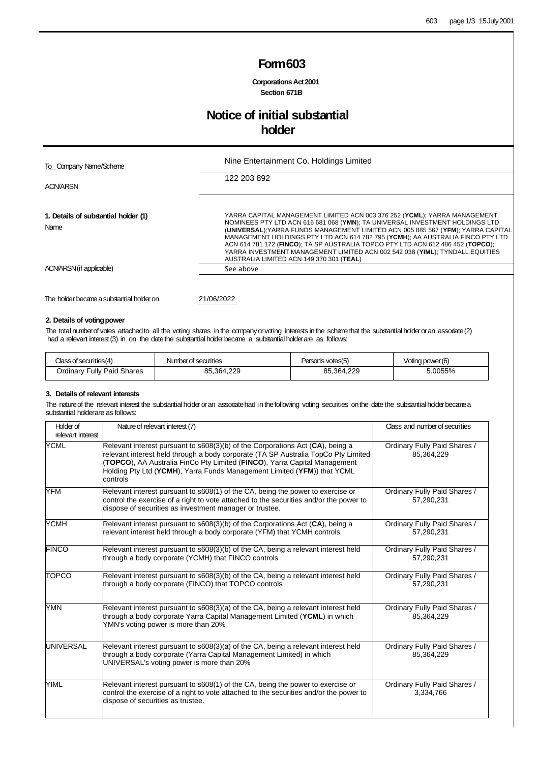### **Form603**

Corporations Act 2001 **Section 671B**

# **Notice of initial substantial holder**

| To Company Name/Scheme                       | Nine Entertainment Co. Holdings Limited                                                                                                                                                                                                                                                                                                                                                                                                                                                                                                                 |  |  |
|----------------------------------------------|---------------------------------------------------------------------------------------------------------------------------------------------------------------------------------------------------------------------------------------------------------------------------------------------------------------------------------------------------------------------------------------------------------------------------------------------------------------------------------------------------------------------------------------------------------|--|--|
| <b>ACN/ARSN</b>                              | 122 203 892                                                                                                                                                                                                                                                                                                                                                                                                                                                                                                                                             |  |  |
| 1. Details of substantial holder (1)<br>Name | YARRA CAPITAL MANAGEMENT LIMITED ACN 003 376 252 ( <b>YCML</b> ); YARRA MANAGEMENT<br>NOMINEES PTY LTD ACN 616 681 068 (YMN); TA UNIVERSAL INVESTMENT HOLDINGS LTD<br>(UNIVERSAL); YARRA FUNDS MANAGEMENT LIMITED ACN 005 885 567 (YFM); YARRA CAPITAL<br>MANAGEMENT HOLDINGS PTY LTD ACN 614 782 795 (YCMH); AA AUSTRALIA FINCO PTY LTD<br>ACN 614 781 172 (FINCO); TA SP AUSTRALIA TOPCO PTY LTD ACN 612 486 452 (TOPCO);<br>YARRA INVESTMENT MANAGEMENT LIMITED ACN 002 542 038 (YIML); TYNDALL EQUITIES<br>AUSTRALIA LIMITED ACN 149 370 301 (TEAL) |  |  |
| ACN/ARSN (if applicable)                     | See above                                                                                                                                                                                                                                                                                                                                                                                                                                                                                                                                               |  |  |
| The holder became a substantial holder on    | 21/06/2022                                                                                                                                                                                                                                                                                                                                                                                                                                                                                                                                              |  |  |

#### **2. Details of votingpower**

The total number of votes attached to all the voting shares in the company or voting interests in the scheme that the substantial holder or an associate (2) had a relevart interest (3) in on the date the substantial holder became a substantial holder are as follows:

| Class of securities (4)           | Number of securities | Person's votes(5) | Voting power (6) |
|-----------------------------------|----------------------|-------------------|------------------|
| <b>Ordinary Fully Paid Shares</b> | 85.364.229           | 85.364.229        | 5.0055%          |

#### **3. Details of relevant interests**

The nature of the relevart interest the substantial holder or an associate had in the following voting securities on the date the substantial holder became a substantial holderare as follows:

| Holder of<br>relevant interest | Nature of relevart interest (7)                                                                                                                                                                                                                                                                                                            | Class and number of securities             |
|--------------------------------|--------------------------------------------------------------------------------------------------------------------------------------------------------------------------------------------------------------------------------------------------------------------------------------------------------------------------------------------|--------------------------------------------|
| <b>YCML</b>                    | Relevant interest pursuant to $s608(3)(b)$ of the Corporations Act (CA), being a<br>relevant interest held through a body corporate (TA SP Australia TopCo Pty Limited<br>(TOPCO), AA Australia FinCo Pty Limited (FINCO), Yarra Capital Management<br>Holding Pty Ltd (YCMH), Yarra Funds Management Limited (YFM)) that YCML<br>controls | Ordinary Fully Paid Shares /<br>85,364,229 |
| <b>YFM</b>                     | Relevant interest pursuant to s608(1) of the CA, being the power to exercise or<br>control the exercise of a right to vote attached to the securities and/or the power to<br>dispose of securities as investment manager or trustee.                                                                                                       | Ordinary Fully Paid Shares /<br>57.290.231 |
| <b>YCMH</b>                    | Relevant interest pursuant to s608(3)(b) of the Corporations Act (CA), being a<br>relevant interest held through a body corporate (YFM) that YCMH controls                                                                                                                                                                                 | Ordinary Fully Paid Shares /<br>57,290,231 |
| <b>FINCO</b>                   | Relevant interest pursuant to s608(3)(b) of the CA, being a relevant interest held<br>through a body corporate (YCMH) that FINCO controls                                                                                                                                                                                                  | Ordinary Fully Paid Shares /<br>57.290.231 |
| TOPCO                          | Relevant interest pursuant to s608(3)(b) of the CA, being a relevant interest held<br>through a body corporate (FINCO) that TOPCO controls                                                                                                                                                                                                 | Ordinary Fully Paid Shares /<br>57,290,231 |
| YMN                            | Relevant interest pursuant to s608(3)(a) of the CA, being a relevant interest held<br>through a body corporate Yarra Capital Management Limited (YCML) in which<br>YMN's voting power is more than 20%                                                                                                                                     | Ordinary Fully Paid Shares /<br>85,364,229 |
| <b>UNIVERSAL</b>               | Relevant interest pursuant to s608(3)(a) of the CA, being a relevant interest held<br>through a body corporate (Yarra Capital Management Limited) in which<br>UNIVERSAL's voting power is more than 20%                                                                                                                                    | Ordinary Fully Paid Shares /<br>85,364,229 |
| <b>YIML</b>                    | Relevant interest pursuant to s608(1) of the CA, being the power to exercise or<br>control the exercise of a right to vote attached to the securities and/or the power to<br>dispose of securities as trustee.                                                                                                                             | Ordinary Fully Paid Shares /<br>3,334,766  |